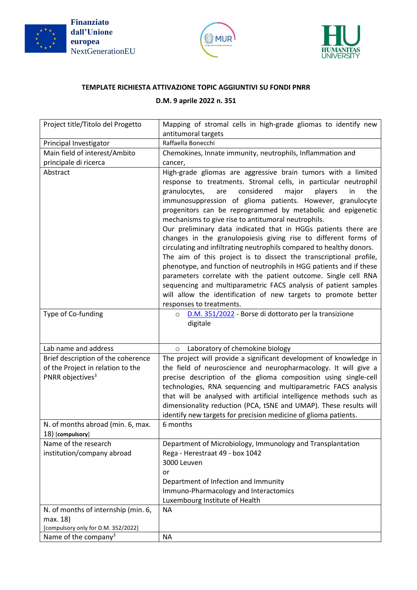





## **TEMPLATE RICHIESTA ATTIVAZIONE TOPIC AGGIUNTIVI SU FONDI PNRR**

## **D.M. 9 aprile 2022 n. 351**

| Project title/Titolo del Progetto                                                                       | Mapping of stromal cells in high-grade gliomas to identify new                                                                                                                                                                                                                                                                                                                                                                                                                                                                                                                                                                                                                                                                                                                                                                                                                                                                                                                           |
|---------------------------------------------------------------------------------------------------------|------------------------------------------------------------------------------------------------------------------------------------------------------------------------------------------------------------------------------------------------------------------------------------------------------------------------------------------------------------------------------------------------------------------------------------------------------------------------------------------------------------------------------------------------------------------------------------------------------------------------------------------------------------------------------------------------------------------------------------------------------------------------------------------------------------------------------------------------------------------------------------------------------------------------------------------------------------------------------------------|
|                                                                                                         | antitumoral targets                                                                                                                                                                                                                                                                                                                                                                                                                                                                                                                                                                                                                                                                                                                                                                                                                                                                                                                                                                      |
| Principal Investigator                                                                                  | Raffaella Bonecchi                                                                                                                                                                                                                                                                                                                                                                                                                                                                                                                                                                                                                                                                                                                                                                                                                                                                                                                                                                       |
| Main field of interest/Ambito                                                                           | Chemokines, Innate immunity, neutrophils, Inflammation and                                                                                                                                                                                                                                                                                                                                                                                                                                                                                                                                                                                                                                                                                                                                                                                                                                                                                                                               |
| principale di ricerca                                                                                   | cancer,                                                                                                                                                                                                                                                                                                                                                                                                                                                                                                                                                                                                                                                                                                                                                                                                                                                                                                                                                                                  |
| Abstract                                                                                                | High-grade gliomas are aggressive brain tumors with a limited<br>response to treatments. Stromal cells, in particular neutrophil<br>considered<br>granulocytes,<br>major<br>players<br>in<br>the<br>are<br>immunosuppression of glioma patients. However, granulocyte<br>progenitors can be reprogrammed by metabolic and epigenetic<br>mechanisms to give rise to antitumoral neutrophils.<br>Our preliminary data indicated that in HGGs patients there are<br>changes in the granulopoiesis giving rise to different forms of<br>circulating and infiltrating neutrophils compared to healthy donors.<br>The aim of this project is to dissect the transcriptional profile,<br>phenotype, and function of neutrophils in HGG patients and if these<br>parameters correlate with the patient outcome. Single cell RNA<br>sequencing and multiparametric FACS analysis of patient samples<br>will allow the identification of new targets to promote better<br>responses to treatments. |
| Type of Co-funding                                                                                      | D.M. 351/2022 - Borse di dottorato per la transizione<br>$\circ$<br>digitale                                                                                                                                                                                                                                                                                                                                                                                                                                                                                                                                                                                                                                                                                                                                                                                                                                                                                                             |
| Lab name and address                                                                                    | Laboratory of chemokine biology<br>$\circ$                                                                                                                                                                                                                                                                                                                                                                                                                                                                                                                                                                                                                                                                                                                                                                                                                                                                                                                                               |
| Brief description of the coherence<br>of the Project in relation to the<br>PNRR objectives <sup>3</sup> | The project will provide a significant development of knowledge in<br>the field of neuroscience and neuropharmacology. It will give a<br>precise description of the glioma composition using single-cell<br>technologies, RNA sequencing and multiparametric FACS analysis<br>that will be analysed with artificial intelligence methods such as<br>dimensionality reduction (PCA, tSNE and UMAP). These results will<br>identify new targets for precision medicine of glioma patients.                                                                                                                                                                                                                                                                                                                                                                                                                                                                                                 |
| N. of months abroad (min. 6, max.<br>18) [compulsory]                                                   | 6 months                                                                                                                                                                                                                                                                                                                                                                                                                                                                                                                                                                                                                                                                                                                                                                                                                                                                                                                                                                                 |
| Name of the research                                                                                    | Department of Microbiology, Immunology and Transplantation                                                                                                                                                                                                                                                                                                                                                                                                                                                                                                                                                                                                                                                                                                                                                                                                                                                                                                                               |
| institution/company abroad                                                                              | Rega - Herestraat 49 - box 1042<br>3000 Leuven<br>or<br>Department of Infection and Immunity<br>Immuno-Pharmacology and Interactomics<br>Luxembourg Institute of Health                                                                                                                                                                                                                                                                                                                                                                                                                                                                                                                                                                                                                                                                                                                                                                                                                  |
| N. of months of internship (min. 6,                                                                     | <b>NA</b>                                                                                                                                                                                                                                                                                                                                                                                                                                                                                                                                                                                                                                                                                                                                                                                                                                                                                                                                                                                |
| max. 18)                                                                                                |                                                                                                                                                                                                                                                                                                                                                                                                                                                                                                                                                                                                                                                                                                                                                                                                                                                                                                                                                                                          |
|                                                                                                         |                                                                                                                                                                                                                                                                                                                                                                                                                                                                                                                                                                                                                                                                                                                                                                                                                                                                                                                                                                                          |
| [compulsory only for D.M. 352/2022]<br>Name of the company <sup>3</sup>                                 | <b>NA</b>                                                                                                                                                                                                                                                                                                                                                                                                                                                                                                                                                                                                                                                                                                                                                                                                                                                                                                                                                                                |